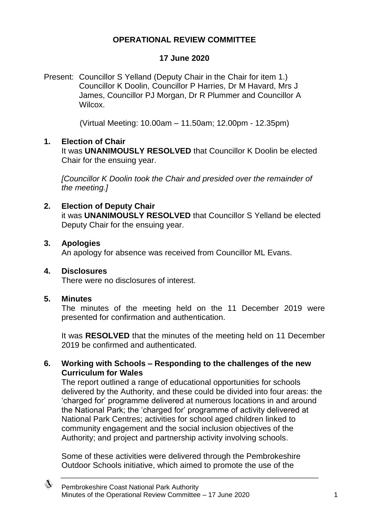### **OPERATIONAL REVIEW COMMITTEE**

### **17 June 2020**

Present: Councillor S Yelland (Deputy Chair in the Chair for item 1.) Councillor K Doolin, Councillor P Harries, Dr M Havard, Mrs J James, Councillor PJ Morgan, Dr R Plummer and Councillor A **Wilcox** 

(Virtual Meeting: 10.00am – 11.50am; 12.00pm - 12.35pm)

### **1. Election of Chair**

It was **UNANIMOUSLY RESOLVED** that Councillor K Doolin be elected Chair for the ensuing year.

*[Councillor K Doolin took the Chair and presided over the remainder of the meeting.]*

### **2. Election of Deputy Chair**

it was **UNANIMOUSLY RESOLVED** that Councillor S Yelland be elected Deputy Chair for the ensuing year.

#### **3. Apologies**

An apology for absence was received from Councillor ML Evans.

### **4. Disclosures**

There were no disclosures of interest.

### **5. Minutes**

The minutes of the meeting held on the 11 December 2019 were presented for confirmation and authentication.

It was **RESOLVED** that the minutes of the meeting held on 11 December 2019 be confirmed and authenticated.

### **6. Working with Schools – Responding to the challenges of the new Curriculum for Wales**

The report outlined a range of educational opportunities for schools delivered by the Authority, and these could be divided into four areas: the 'charged for' programme delivered at numerous locations in and around the National Park; the 'charged for' programme of activity delivered at National Park Centres; activities for school aged children linked to community engagement and the social inclusion objectives of the Authority; and project and partnership activity involving schools.

Some of these activities were delivered through the Pembrokeshire Outdoor Schools initiative, which aimed to promote the use of the

◈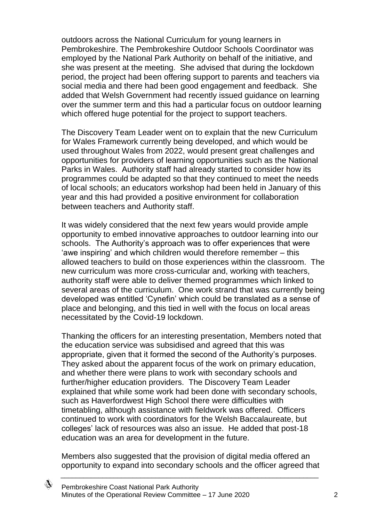outdoors across the National Curriculum for young learners in Pembrokeshire. The Pembrokeshire Outdoor Schools Coordinator was employed by the National Park Authority on behalf of the initiative, and she was present at the meeting. She advised that during the lockdown period, the project had been offering support to parents and teachers via social media and there had been good engagement and feedback. She added that Welsh Government had recently issued guidance on learning over the summer term and this had a particular focus on outdoor learning which offered huge potential for the project to support teachers.

The Discovery Team Leader went on to explain that the new Curriculum for Wales Framework currently being developed, and which would be used throughout Wales from 2022, would present great challenges and opportunities for providers of learning opportunities such as the National Parks in Wales. Authority staff had already started to consider how its programmes could be adapted so that they continued to meet the needs of local schools; an educators workshop had been held in January of this year and this had provided a positive environment for collaboration between teachers and Authority staff.

It was widely considered that the next few years would provide ample opportunity to embed innovative approaches to outdoor learning into our schools. The Authority's approach was to offer experiences that were 'awe inspiring' and which children would therefore remember – this allowed teachers to build on those experiences within the classroom. The new curriculum was more cross-curricular and, working with teachers, authority staff were able to deliver themed programmes which linked to several areas of the curriculum. One work strand that was currently being developed was entitled 'Cynefin' which could be translated as a sense of place and belonging, and this tied in well with the focus on local areas necessitated by the Covid-19 lockdown.

Thanking the officers for an interesting presentation, Members noted that the education service was subsidised and agreed that this was appropriate, given that it formed the second of the Authority's purposes. They asked about the apparent focus of the work on primary education, and whether there were plans to work with secondary schools and further/higher education providers. The Discovery Team Leader explained that while some work had been done with secondary schools, such as Haverfordwest High School there were difficulties with timetabling, although assistance with fieldwork was offered. Officers continued to work with coordinators for the Welsh Baccalaureate, but colleges' lack of resources was also an issue. He added that post-18 education was an area for development in the future.

Members also suggested that the provision of digital media offered an opportunity to expand into secondary schools and the officer agreed that

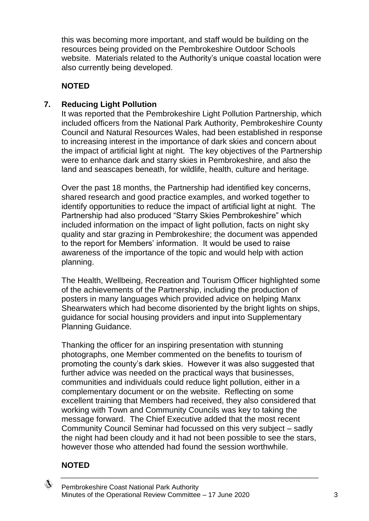this was becoming more important, and staff would be building on the resources being provided on the Pembrokeshire Outdoor Schools website. Materials related to the Authority's unique coastal location were also currently being developed.

# **NOTED**

## **7. Reducing Light Pollution**

It was reported that the Pembrokeshire Light Pollution Partnership, which included officers from the National Park Authority, Pembrokeshire County Council and Natural Resources Wales, had been established in response to increasing interest in the importance of dark skies and concern about the impact of artificial light at night. The key objectives of the Partnership were to enhance dark and starry skies in Pembrokeshire, and also the land and seascapes beneath, for wildlife, health, culture and heritage.

Over the past 18 months, the Partnership had identified key concerns, shared research and good practice examples, and worked together to identify opportunities to reduce the impact of artificial light at night. The Partnership had also produced "Starry Skies Pembrokeshire" which included information on the impact of light pollution, facts on night sky quality and star grazing in Pembrokeshire; the document was appended to the report for Members' information. It would be used to raise awareness of the importance of the topic and would help with action planning.

The Health, Wellbeing, Recreation and Tourism Officer highlighted some of the achievements of the Partnership, including the production of posters in many languages which provided advice on helping Manx Shearwaters which had become disoriented by the bright lights on ships, guidance for social housing providers and input into Supplementary Planning Guidance.

Thanking the officer for an inspiring presentation with stunning photographs, one Member commented on the benefits to tourism of promoting the county's dark skies. However it was also suggested that further advice was needed on the practical ways that businesses, communities and individuals could reduce light pollution, either in a complementary document or on the website. Reflecting on some excellent training that Members had received, they also considered that working with Town and Community Councils was key to taking the message forward. The Chief Executive added that the most recent Community Council Seminar had focussed on this very subject – sadly the night had been cloudy and it had not been possible to see the stars, however those who attended had found the session worthwhile.

\_\_\_\_\_\_\_\_\_\_\_\_\_\_\_\_\_\_\_\_\_\_\_\_\_\_\_\_\_\_\_\_\_\_\_\_\_\_\_\_\_\_\_\_\_\_\_\_\_\_\_\_\_\_\_\_\_\_\_\_\_\_\_\_\_\_\_\_

## **NOTED**

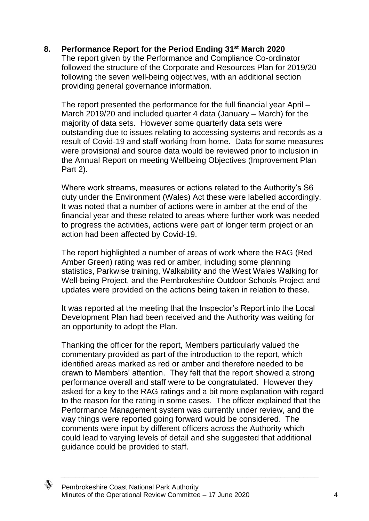### **8. Performance Report for the Period Ending 31st March 2020**

The report given by the Performance and Compliance Co-ordinator followed the structure of the Corporate and Resources Plan for 2019/20 following the seven well-being objectives, with an additional section providing general governance information.

The report presented the performance for the full financial year April – March 2019/20 and included quarter 4 data (January – March) for the majority of data sets. However some quarterly data sets were outstanding due to issues relating to accessing systems and records as a result of Covid-19 and staff working from home. Data for some measures were provisional and source data would be reviewed prior to inclusion in the Annual Report on meeting Wellbeing Objectives (Improvement Plan Part 2).

Where work streams, measures or actions related to the Authority's S6 duty under the Environment (Wales) Act these were labelled accordingly. It was noted that a number of actions were in amber at the end of the financial year and these related to areas where further work was needed to progress the activities, actions were part of longer term project or an action had been affected by Covid-19.

The report highlighted a number of areas of work where the RAG (Red Amber Green) rating was red or amber, including some planning statistics, Parkwise training, Walkability and the West Wales Walking for Well-being Project, and the Pembrokeshire Outdoor Schools Project and updates were provided on the actions being taken in relation to these.

It was reported at the meeting that the Inspector's Report into the Local Development Plan had been received and the Authority was waiting for an opportunity to adopt the Plan.

Thanking the officer for the report, Members particularly valued the commentary provided as part of the introduction to the report, which identified areas marked as red or amber and therefore needed to be drawn to Members' attention. They felt that the report showed a strong performance overall and staff were to be congratulated. However they asked for a key to the RAG ratings and a bit more explanation with regard to the reason for the rating in some cases. The officer explained that the Performance Management system was currently under review, and the way things were reported going forward would be considered. The comments were input by different officers across the Authority which could lead to varying levels of detail and she suggested that additional guidance could be provided to staff.

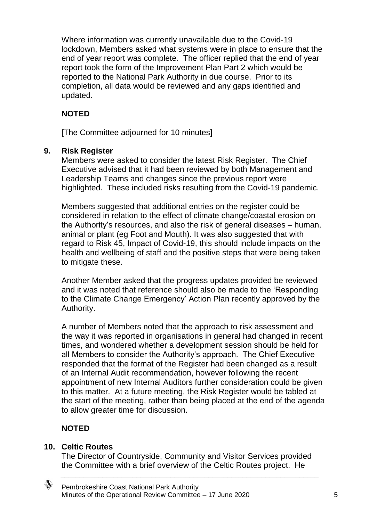Where information was currently unavailable due to the Covid-19 lockdown, Members asked what systems were in place to ensure that the end of year report was complete. The officer replied that the end of year report took the form of the Improvement Plan Part 2 which would be reported to the National Park Authority in due course. Prior to its completion, all data would be reviewed and any gaps identified and updated.

# **NOTED**

[The Committee adjourned for 10 minutes]

## **9. Risk Register**

Members were asked to consider the latest Risk Register. The Chief Executive advised that it had been reviewed by both Management and Leadership Teams and changes since the previous report were highlighted. These included risks resulting from the Covid-19 pandemic.

Members suggested that additional entries on the register could be considered in relation to the effect of climate change/coastal erosion on the Authority's resources, and also the risk of general diseases – human, animal or plant (eg Foot and Mouth). It was also suggested that with regard to Risk 45, Impact of Covid-19, this should include impacts on the health and wellbeing of staff and the positive steps that were being taken to mitigate these.

Another Member asked that the progress updates provided be reviewed and it was noted that reference should also be made to the 'Responding to the Climate Change Emergency' Action Plan recently approved by the Authority.

A number of Members noted that the approach to risk assessment and the way it was reported in organisations in general had changed in recent times, and wondered whether a development session should be held for all Members to consider the Authority's approach. The Chief Executive responded that the format of the Register had been changed as a result of an Internal Audit recommendation, however following the recent appointment of new Internal Auditors further consideration could be given to this matter. At a future meeting, the Risk Register would be tabled at the start of the meeting, rather than being placed at the end of the agenda to allow greater time for discussion.

## **NOTED**

### **10. Celtic Routes**

The Director of Countryside, Community and Visitor Services provided the Committee with a brief overview of the Celtic Routes project. He